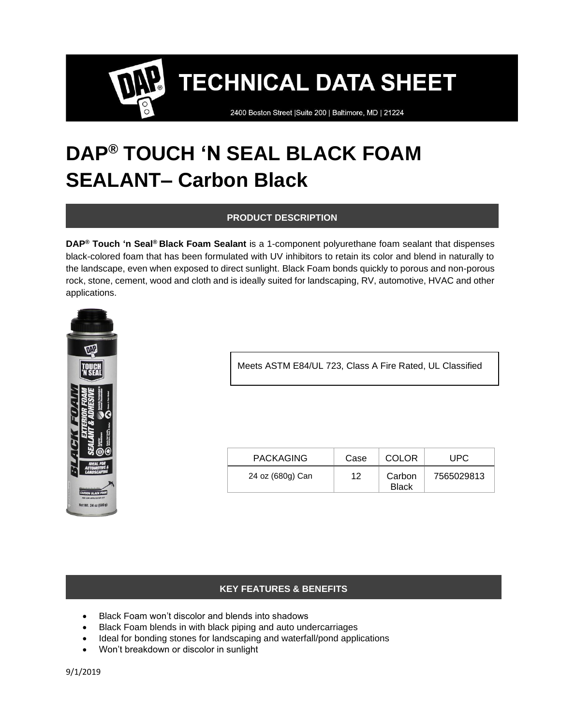2400 Boston Street | Suite 200 | Baltimore, MD | 21224

### **DAP® TOUCH 'N SEAL BLACK FOAM SEALANT– Carbon Black**

#### **PRODUCT DESCRIPTION**

**DAP® Touch 'n Seal® Black Foam Sealant** is a 1-component polyurethane foam sealant that dispenses black-colored foam that has been formulated with UV inhibitors to retain its color and blend in naturally to the landscape, even when exposed to direct sunlight. Black Foam bonds quickly to porous and non-porous rock, stone, cement, wood and cloth and is ideally suited for landscaping, RV, automotive, HVAC and other applications.



Meets ASTM E84/UL 723, Class A Fire Rated, UL Classified

| <b>PACKAGING</b> | Case | <b>COLOR</b>           | UPC        |
|------------------|------|------------------------|------------|
| 24 oz (680g) Can | 12   | Carbon<br><b>Black</b> | 7565029813 |

#### **KEY FEATURES & BENEFITS**

- Black Foam won't discolor and blends into shadows
- Black Foam blends in with black piping and auto undercarriages
- Ideal for bonding stones for landscaping and waterfall/pond applications
- Won't breakdown or discolor in sunlight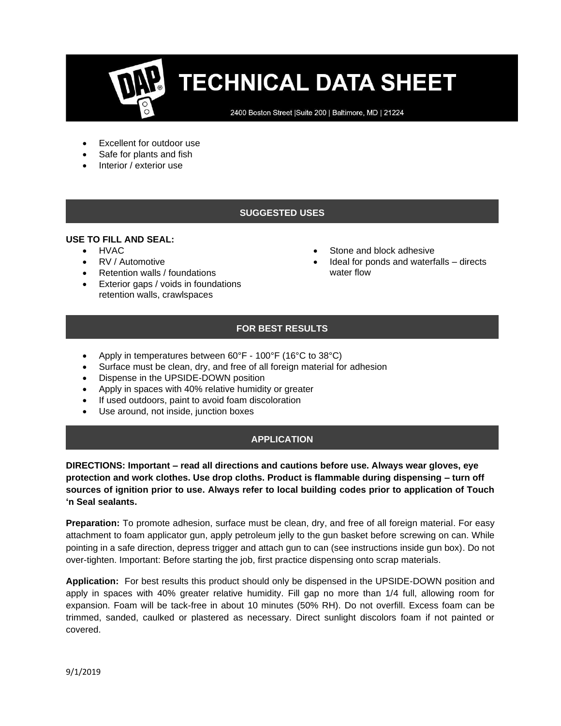2400 Boston Street | Suite 200 | Baltimore, MD | 21224

- Excellent for outdoor use
- Safe for plants and fish
- Interior / exterior use

#### **SUGGESTED USES**

#### **USE TO FILL AND SEAL:**

- HVAC
- RV / Automotive
- Retention walls / foundations
- Exterior gaps / voids in foundations retention walls, crawlspaces
- Stone and block adhesive
- Ideal for ponds and waterfalls directs water flow

#### **FOR BEST RESULTS**

- Apply in temperatures between 60°F 100°F (16°C to 38°C)
- Surface must be clean, dry, and free of all foreign material for adhesion
- Dispense in the UPSIDE-DOWN position
- Apply in spaces with 40% relative humidity or greater
- If used outdoors, paint to avoid foam discoloration
- Use around, not inside, junction boxes

#### **APPLICATION**

**DIRECTIONS: Important – read all directions and cautions before use. Always wear gloves, eye protection and work clothes. Use drop cloths. Product is flammable during dispensing – turn off sources of ignition prior to use. Always refer to local building codes prior to application of Touch 'n Seal sealants.** 

**Preparation:** To promote adhesion, surface must be clean, dry, and free of all foreign material. For easy attachment to foam applicator gun, apply petroleum jelly to the gun basket before screwing on can. While pointing in a safe direction, depress trigger and attach gun to can (see instructions inside gun box). Do not over-tighten. Important: Before starting the job, first practice dispensing onto scrap materials.

**Application:** For best results this product should only be dispensed in the UPSIDE-DOWN position and apply in spaces with 40% greater relative humidity. Fill gap no more than 1/4 full, allowing room for expansion. Foam will be tack-free in about 10 minutes (50% RH). Do not overfill. Excess foam can be trimmed, sanded, caulked or plastered as necessary. Direct sunlight discolors foam if not painted or covered.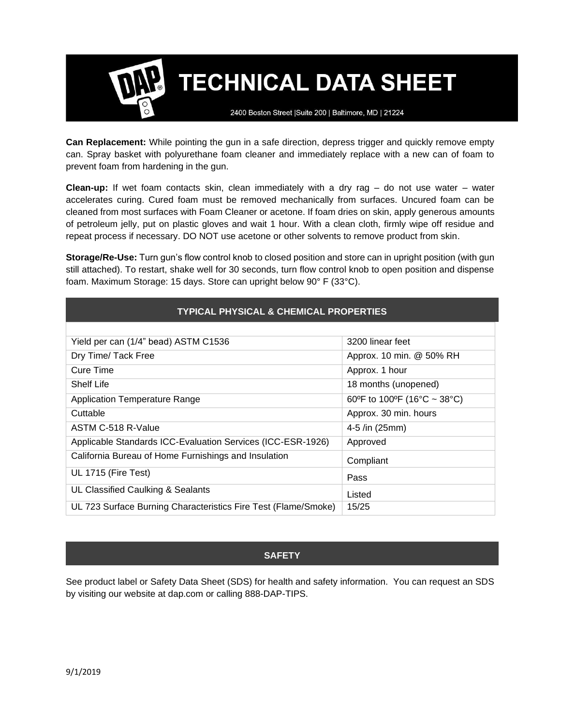2400 Boston Street | Suite 200 | Baltimore, MD | 21224

**Can Replacement:** While pointing the gun in a safe direction, depress trigger and quickly remove empty can. Spray basket with polyurethane foam cleaner and immediately replace with a new can of foam to prevent foam from hardening in the gun.

**Clean-up:** If wet foam contacts skin, clean immediately with a dry rag – do not use water – water accelerates curing. Cured foam must be removed mechanically from surfaces. Uncured foam can be cleaned from most surfaces with Foam Cleaner or acetone. If foam dries on skin, apply generous amounts of petroleum jelly, put on plastic gloves and wait 1 hour. With a clean cloth, firmly wipe off residue and repeat process if necessary. DO NOT use acetone or other solvents to remove product from skin.

**Storage/Re-Use:** Turn gun's flow control knob to closed position and store can in upright position (with gun still attached). To restart, shake well for 30 seconds, turn flow control knob to open position and dispense foam. Maximum Storage: 15 days. Store can upright below 90° F (33°C).

| Yield per can (1/4" bead) ASTM C1536                           | 3200 linear feet            |  |
|----------------------------------------------------------------|-----------------------------|--|
| Dry Time/ Tack Free                                            | Approx. 10 min. @ 50% RH    |  |
| Cure Time                                                      | Approx. 1 hour              |  |
| Shelf Life                                                     | 18 months (unopened)        |  |
| <b>Application Temperature Range</b>                           | 60°F to 100°F (16°C ~ 38°C) |  |
| Cuttable                                                       | Approx. 30 min. hours       |  |
| ASTM C-518 R-Value                                             | 4-5 /in $(25mm)$            |  |
| Applicable Standards ICC-Evaluation Services (ICC-ESR-1926)    | Approved                    |  |
| California Bureau of Home Furnishings and Insulation           | Compliant                   |  |
| UL 1715 (Fire Test)                                            | Pass                        |  |
| UL Classified Caulking & Sealants                              | Listed                      |  |
| UL 723 Surface Burning Characteristics Fire Test (Flame/Smoke) | 15/25                       |  |

#### **SAFETY**

See product label or Safety Data Sheet (SDS) for health and safety information. You can request an SDS by visiting our website at dap.com or calling 888-DAP-TIPS.